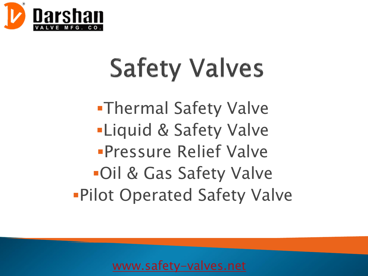

# **Safety Valves**

**-Thermal Safety Valve -Liquid & Safety Valve** *<u>Pressure</u>* Relief Valve ▪Oil & Gas Safety Valve **Pilot Operated Safety Valve**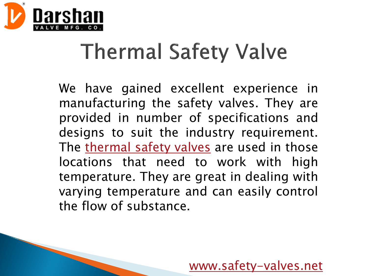

### **Thermal Safety Valve**

We have gained excellent experience in manufacturing the safety valves. They are provided in number of specifications and designs to suit the industry requirement. The [thermal](http://safety-valves.net/safety-valve.html) safety valves are used in those locations that need to work with high temperature. They are great in dealing with varying temperature and can easily control the flow of substance.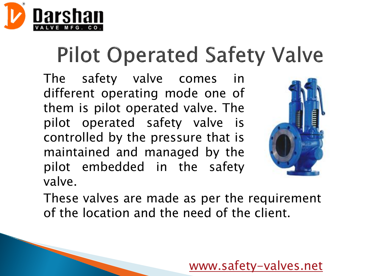

## **Pilot Operated Safety Valve**

The safety valve comes in different operating mode one of them is pilot operated valve. The pilot operated safety valve is controlled by the pressure that is maintained and managed by the pilot embedded in the safety valve.



These valves are made as per the requirement of the location and the need of the client.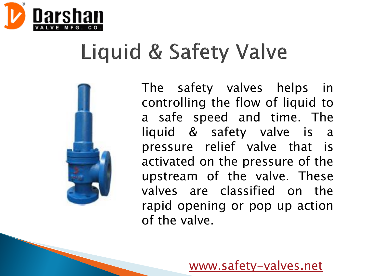

#### Liquid & Safety Valve



The safety valves helps in controlling the flow of liquid to a safe speed and time. The liquid & safety valve is a pressure relief valve that is activated on the pressure of the upstream of the valve. These valves are classified on the rapid opening or pop up action of the valve.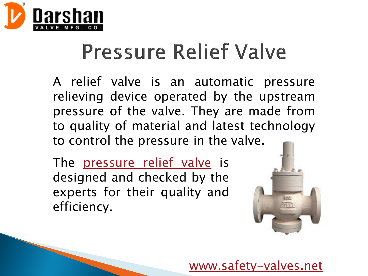

#### **Pressure Relief Valve**

A relief valve is an automatic pressure relieving device operated by the upstream pressure of the valve. They are made from to quality of material and latest technology to control the pressure in the valve.

The [pressure](http://safety-valves.net/pressure-reducing-valve.html) relief valve is designed and checked by the experts for their quality and efficiency.

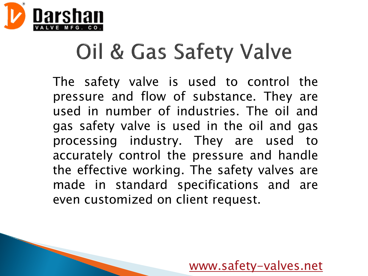

# Oil & Gas Safety Valve

The safety valve is used to control the pressure and flow of substance. They are used in number of industries. The oil and gas safety valve is used in the oil and gas processing industry. They are used to accurately control the pressure and handle the effective working. The safety valves are made in standard specifications and are even customized on client request.